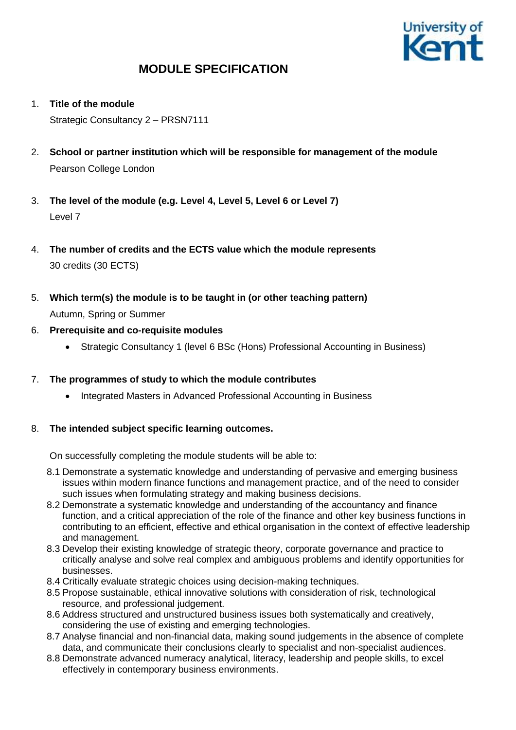

- 1. **Title of the module** Strategic Consultancy 2 – PRSN7111
- 2. **School or partner institution which will be responsible for management of the module** Pearson College London
- 3. **The level of the module (e.g. Level 4, Level 5, Level 6 or Level 7)** Level 7
- 4. **The number of credits and the ECTS value which the module represents**  30 credits (30 ECTS)
- 5. **Which term(s) the module is to be taught in (or other teaching pattern)** Autumn, Spring or Summer
- 6. **Prerequisite and co-requisite modules**
	- Strategic Consultancy 1 (level 6 BSc (Hons) Professional Accounting in Business)

## 7. **The programmes of study to which the module contributes**

• Integrated Masters in Advanced Professional Accounting in Business

## 8. **The intended subject specific learning outcomes.**

On successfully completing the module students will be able to:

- 8.1 Demonstrate a systematic knowledge and understanding of pervasive and emerging business issues within modern finance functions and management practice, and of the need to consider such issues when formulating strategy and making business decisions.
- 8.2 Demonstrate a systematic knowledge and understanding of the accountancy and finance function, and a critical appreciation of the role of the finance and other key business functions in contributing to an efficient, effective and ethical organisation in the context of effective leadership and management.
- 8.3 Develop their existing knowledge of strategic theory, corporate governance and practice to critically analyse and solve real complex and ambiguous problems and identify opportunities for businesses.
- 8.4 Critically evaluate strategic choices using decision-making techniques.
- 8.5 Propose sustainable, ethical innovative solutions with consideration of risk, technological resource, and professional judgement.
- 8.6 Address structured and unstructured business issues both systematically and creatively, considering the use of existing and emerging technologies.
- 8.7 Analyse financial and non-financial data, making sound judgements in the absence of complete data, and communicate their conclusions clearly to specialist and non-specialist audiences.
- 8.8 Demonstrate advanced numeracy analytical, literacy, leadership and people skills, to excel effectively in contemporary business environments.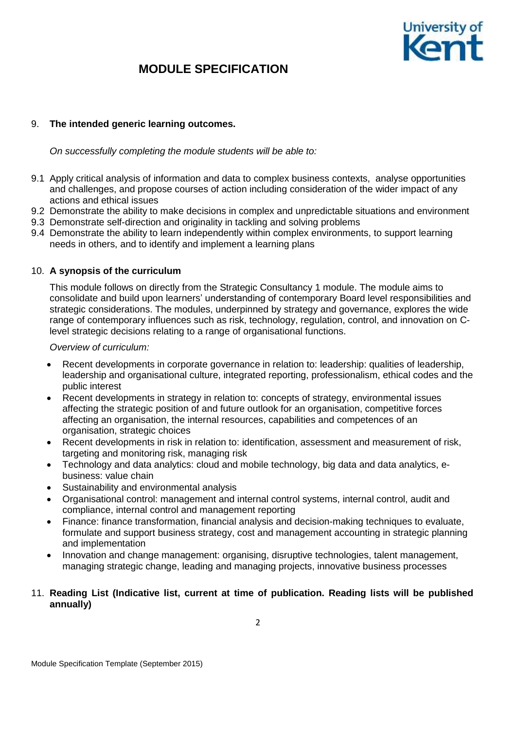

### 9. **The intended generic learning outcomes.**

*On successfully completing the module students will be able to:*

- 9.1 Apply critical analysis of information and data to complex business contexts, analyse opportunities and challenges, and propose courses of action including consideration of the wider impact of any actions and ethical issues
- 9.2 Demonstrate the ability to make decisions in complex and unpredictable situations and environment
- 9.3 Demonstrate self-direction and originality in tackling and solving problems
- 9.4 Demonstrate the ability to learn independently within complex environments, to support learning needs in others, and to identify and implement a learning plans

### 10. **A synopsis of the curriculum**

This module follows on directly from the Strategic Consultancy 1 module. The module aims to consolidate and build upon learners' understanding of contemporary Board level responsibilities and strategic considerations. The modules, underpinned by strategy and governance, explores the wide range of contemporary influences such as risk, technology, regulation, control, and innovation on Clevel strategic decisions relating to a range of organisational functions.

*Overview of curriculum:* 

- Recent developments in corporate governance in relation to: leadership: qualities of leadership, leadership and organisational culture, integrated reporting, professionalism, ethical codes and the public interest
- Recent developments in strategy in relation to: concepts of strategy, environmental issues affecting the strategic position of and future outlook for an organisation, competitive forces affecting an organisation, the internal resources, capabilities and competences of an organisation, strategic choices
- Recent developments in risk in relation to: identification, assessment and measurement of risk, targeting and monitoring risk, managing risk
- Technology and data analytics: cloud and mobile technology, big data and data analytics, ebusiness: value chain
- Sustainability and environmental analysis
- Organisational control: management and internal control systems, internal control, audit and compliance, internal control and management reporting
- Finance: finance transformation, financial analysis and decision-making techniques to evaluate, formulate and support business strategy, cost and management accounting in strategic planning and implementation
- Innovation and change management: organising, disruptive technologies, talent management, managing strategic change, leading and managing projects, innovative business processes
- 11. **Reading List (Indicative list, current at time of publication. Reading lists will be published annually)**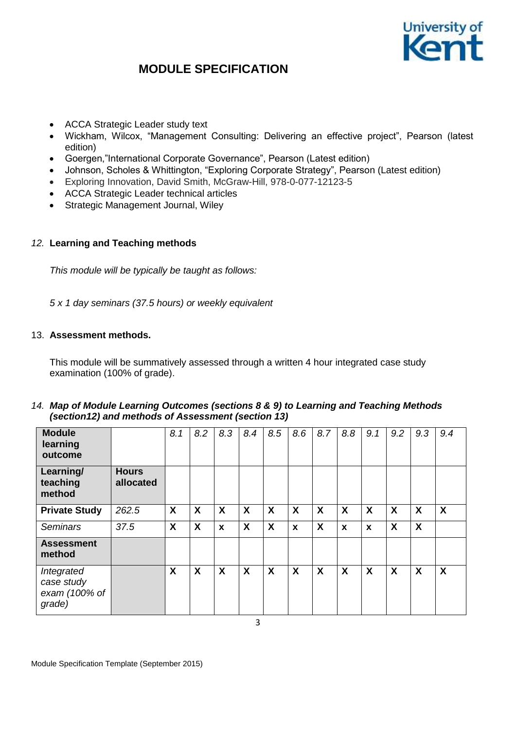

- ACCA Strategic Leader study text
- Wickham, Wilcox, "Management Consulting: Delivering an effective project", Pearson (latest edition)
- Goergen,"International Corporate Governance", Pearson (Latest edition)
- Johnson, Scholes & Whittington, "Exploring Corporate Strategy", Pearson (Latest edition)
- Exploring Innovation, David Smith, McGraw-Hill, 978-0-077-12123-5
- ACCA Strategic Leader technical articles
- Strategic Management Journal, Wiley

### *12.* **Learning and Teaching methods**

*This module will be typically be taught as follows:*

*5 x 1 day seminars (37.5 hours) or weekly equivalent*

### 13. **Assessment methods.**

This module will be summatively assessed through a written 4 hour integrated case study examination (100% of grade).

### *14. Map of Module Learning Outcomes (sections 8 & 9) to Learning and Teaching Methods (section12) and methods of Assessment (section 13)*

| <b>Module</b><br>learning<br>outcome                |                           | 8.1                       | 8.2 | 8.3              | 8.4 | 8.5                       | 8.6 | 8.7 | 8.8 | 9.1                       | 9.2 | 9.3 | 9.4 |
|-----------------------------------------------------|---------------------------|---------------------------|-----|------------------|-----|---------------------------|-----|-----|-----|---------------------------|-----|-----|-----|
| Learning/<br>teaching<br>method                     | <b>Hours</b><br>allocated |                           |     |                  |     |                           |     |     |     |                           |     |     |     |
| <b>Private Study</b>                                | 262.5                     | $\boldsymbol{\mathsf{X}}$ | X   | X                | X   | $\boldsymbol{\mathsf{X}}$ | X   | X   | X   | $\boldsymbol{\mathsf{X}}$ | X   | X   | X   |
| <b>Seminars</b>                                     | 37.5                      | X                         | X   | $\boldsymbol{x}$ | X   | X                         | X   | X   | X   | $\mathbf x$               | X   | X   |     |
| <b>Assessment</b><br>method                         |                           |                           |     |                  |     |                           |     |     |     |                           |     |     |     |
| Integrated<br>case study<br>exam (100% of<br>grade) |                           | X                         | X   | X                | X   | $\boldsymbol{\mathsf{X}}$ | X   | X   | X   | $\boldsymbol{\mathsf{X}}$ | X   | X   | X   |

3